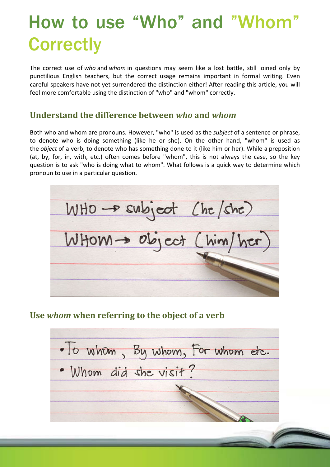# How to use "Who" and "Whom **Correctly**

The correct use of *who* and *whom* in questions may seem like a lost battle, still joined only by punctilious English teachers, but the correct usage remains important in formal writing. Even careful speakers have not yet surrendered the distinction either! After reading this article, you will feel more comfortable using the distinction of "who" and "whom" correctly.

#### **Understand the difference between** *who* **and** *whom*

Both who and whom are pronouns. However, "who" is used as the *subject* of a sentence or phrase, to denote who is doing something (like he or she). On the other hand, "whom" is used as the *object* of a verb, to denote who has something done to it (like him or her). While a preposition (at, by, for, in, with, etc.) often comes before "whom", this is not always the case, so the key question is to ask "who is doing what to whom". What follows is a quick way to determine which pronoun to use in a particular question.

WHO - subject (ht/she) WHOM - Object (him/her)

#### **Use** *whom* **when referring to the object of a verb**

· It whom, By whom, For whom etc. . Whom did she visit?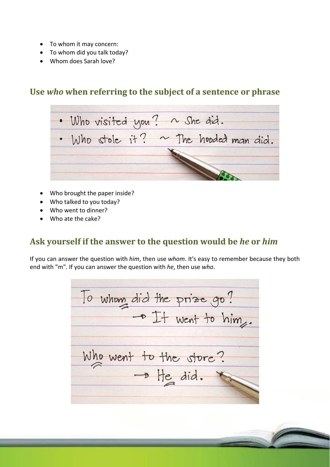- To whom it may concern:
- To whom did you talk today?
- Whom does Sarah love?

#### **Use** *who* **when referring to the subject of a sentence or phrase**

. Who visited you ? ~ She did. . Who stole it? ~ The hooded man did.

- Who brought the paper inside?
- Who talked to you today?
- Who went to dinner?
- Who ate the cake?

#### **Ask yourself if the answer to the question would be** *he* **or** *him*

If you can answer the question with *him*, then use *whom*. It's easy to remember because they both end with "m". If you can answer the question with *he*, then use *who*.

To whom did the prize go ? - It went to him. Who went to the store?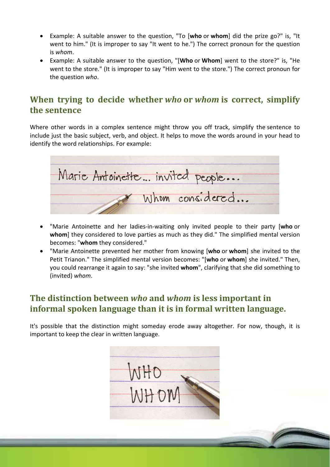- Example: A suitable answer to the question, "To [**who** or **whom**] did the prize go?" is, "It went to him." (It is improper to say "It went to he.") The correct pronoun for the question is *whom*.
- Example: A suitable answer to the question, "[**Who** or **Whom**] went to the store?" is, "He went to the store." (It is improper to say "Him went to the store.") The correct pronoun for the question *who*.

## **When trying to decide whether** *who* **or** *whom* **is correct, simplify the sentence**

Where other words in a complex sentence might throw you off track, simplify the sentence to include just the basic subject, verb, and object. It helps to move the words around in your head to identify the word relationships. For example:

Marie Antoinette... invited people... Whom considered...

- "Marie Antoinette and her ladies‐in‐waiting only invited people to their party [**who** or **whom**] they considered to love parties as much as they did." The simplified mental version becomes: "**whom** they considered."
- "Marie Antoinette prevented her mother from knowing [**who** or **whom**] she invited to the Petit Trianon." The simplified mental version becomes: "[**who** or **whom**] she invited." Then, you could rearrange it again to say: "she invited **whom**", clarifying that she did something to (invited) *whom*.

#### **The distinction between** *who* **and** *whom* **is less important in informal spoken language than it is in formal written language.**

It's possible that the distinction might someday erode away altogether. For now, though, it is important to keep the clear in written language.